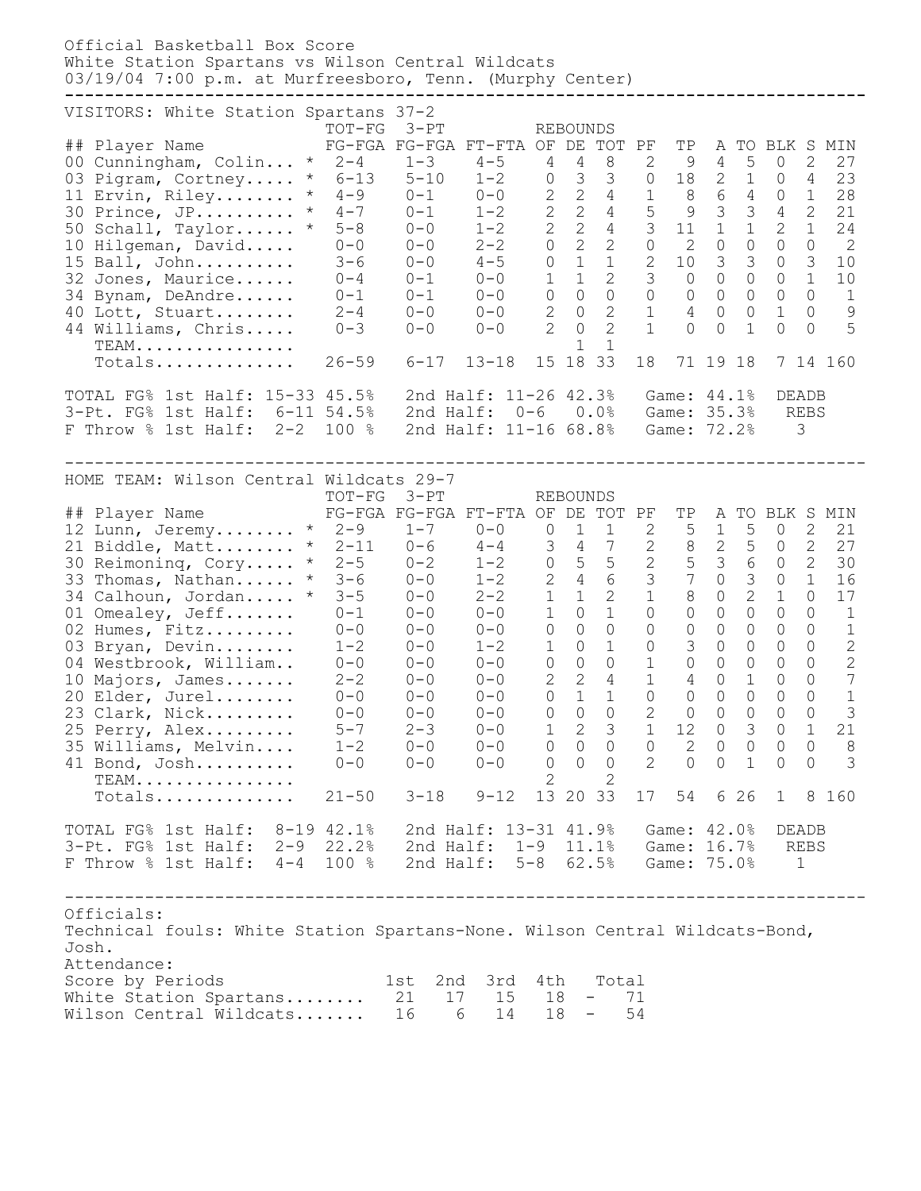Official Basketball Box Score White Station Spartans vs Wilson Central Wildcats 03/19/04 7:00 p.m. at Murfreesboro, Tenn. (Murphy Center) **--------------------------------------------------------------------------------** VISITORS: White Station Spartans 37-2 TOT-FG 3-PT REBOUNDS ## Player Name FG-FGA FG-FGA FT-FTA OF DE TOT PF TP A TO BLK S MIN 00 Cunningham, Colin... \* 2-4 1-3 4-5 4 4 8 2 9 4 5 0 2 27 03 Pigram, Cortney..... \* 6-13 5-10 1-2 0 3 3 0 18 2 1 0 4 23 11 Ervin, Riley........ \* 4-9 0-1 0-0 2 2 4 1 8 6 4 0 1 28 30 Prince, JP.......... \* 4-7 0-1 1-2 2 2 4 5 9 3 3 4 2 21 50 Schall, Taylor...... \* 5-8 0-0 1-2 2 2 4 3 11 1 1 2 1 24 10 Hilgeman, David..... 0-0 0-0 2-2 0 2 2 0 2 0 0 0 0 2 15 Ball, John.......... 3-6 0-0 4-5 0 1 1 2 10 3 3 0 3 10 32 Jones, Maurice...... 0-4 0-1 0-0 1 1 2 3 0 0 0 0 1 10 34 Bynam, DeAndre...... 0-1 0-1 0-0 0 0 0 0 0 0 0 0 0 1 40 Lott, Stuart........ 2-4 0-0 0-0 2 0 2 1 4 0 0 1 0 9 44 Williams, Chris..... 0-3 0-0 0-0 2 0 2 1 0 0 1 0 0 5 TEAM................ 1 1 TEAM................<br>Totals............... 26-59 6-17 13-18 15 18 33 18 71 19 18 7 14 160 TOTAL FG% 1st Half: 15-33 45.5% 2nd Half: 11-26 42.3% Game: 44.1% DEADB 3-Pt. FG% 1st Half: 6-11 54.5% 2nd Half: 0-6 0.0% Game: 35.3% REBS F Throw % 1st Half: 2-2 100 % 2nd Half: 11-16 68.8% Game: 72.2% 3 -------------------------------------------------------------------------------- HOME TEAM: Wilson Central Wildcats 29-7 TOT-FG 3-PT REBOUNDS ## Player Name FG-FGA FG-FGA FT-FTA OF DE TOT PF TP A TO BLK S MIN  $\frac{1}{2}$  Lunn, Jeremy........ \* 2-9 1-7 0-0 0 1 1 2 5 1 5 0 2 21 21 Biddle, Matt........ \* 2-11 0-6 4-4 3 4 7 2 8 2 5 0 2 27 30 Reimoninq, Cory..... \* 2-5 0-2 1-2 0 5 5 2 5 3 6 0 2 30 33 Thomas, Nathan...... \* 3-6 0-0 1-2 2 4 6 3 7 0 3 0 1 16 34 Calhoun, Jordan..... \* 3-5 0-0 2-2 1 1 2 1 8 0 2 1 0 17 01 Omealey, Jeff....... 0-1 0-0 0-0 1 0 1 0 0 0 0 0 0 1 02 Humes, Fitz......... 0-0 0-0 0-0 0 0 0 0 0 0 0 0 0 1 03 Bryan, Devin........ 1-2 0-0 1-2 1 0 1 0 3 0 0 0 0 2 04 Westbrook, William.. 0-0 0-0 0-0 0 0 0 1 0 0 0 0 0 2 10 Majors, James....... 2-2 0-0 0-0 2 2 4 1 4 0 1 0 0 7 20 Elder, Jurel........ 0-0 0-0 0-0 0 1 1 0 0 0 0 0 0 1 23 Clark, Nick......... 0-0 0-0 0-0 0 0 0 2 0 0 0 0 0 3 25 Perry, Alex......... 5-7 2-3 0-0 1 2 3 1 12 0 3 0 1 21 35 Williams, Melvin.... 1-2 0-0 0-0 0 0 0 0 2 0 0 0 0 8 41 Bond, Josh.......... 0-0 0-0 0-0 0 0 0 2 0 0 1 0 0 3 TEAM................ 2 2 Totals.............. 21-50 3-18 9-12 13 20 33 17 54 6 26 1 8 160 TOTAL FG% 1st Half: 8-19 42.1% 2nd Half: 13-31 41.9% Game: 42.0% DEADB 3-Pt. FG% 1st Half: 2-9 22.2% 2nd Half: 1-9 11.1% Game: 16.7% REBS F Throw % 1st Half: 4-4 100 % 2nd Half: 5-8 62.5% Game: 75.0% 1 -------------------------------------------------------------------------------- Officials: Technical fouls: White Station Spartans-None. Wilson Central Wildcats-Bond, Josh. Attendance: score by Periods 1st 2nd 3rd 4th Total White Station Spartans........ 21 17 15 18 - 71 Wilson Central Wildcats....... 16 6 14 18 - 54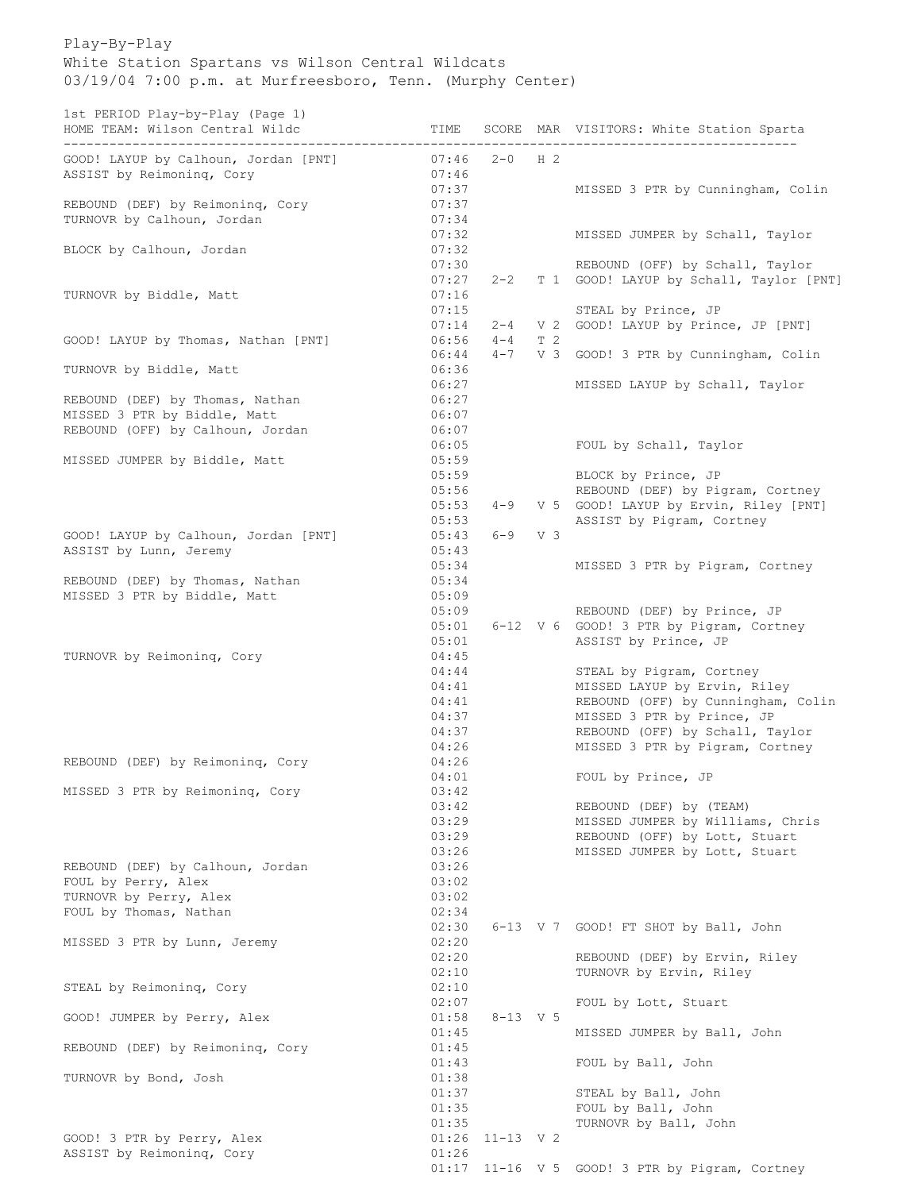Play-By-Play White Station Spartans vs Wilson Central Wildcats 03/19/04 7:00 p.m. at Murfreesboro, Tenn. (Murphy Center)

1st PERIOD Play-by-Play (Page 1)

| 130 LENIOD LIAY DY LIAY (LAGE 1)<br>HOME TEAM: Wilson Central Wildc<br>--------------------------- | TIME           |              |                | SCORE MAR VISITORS: White Station Sparta                               |
|----------------------------------------------------------------------------------------------------|----------------|--------------|----------------|------------------------------------------------------------------------|
| GOOD! LAYUP by Calhoun, Jordan [PNT]                                                               | 07:46          | $2-0$ H 2    |                |                                                                        |
| ASSIST by Reimoning, Cory                                                                          | 07:46          |              |                |                                                                        |
|                                                                                                    | 07:37          |              |                | MISSED 3 PTR by Cunningham, Colin                                      |
| REBOUND (DEF) by Reimoning, Cory                                                                   | 07:37          |              |                |                                                                        |
| TURNOVR by Calhoun, Jordan                                                                         | 07:34          |              |                |                                                                        |
|                                                                                                    | 07:32          |              |                | MISSED JUMPER by Schall, Taylor                                        |
| BLOCK by Calhoun, Jordan                                                                           | 07:32          |              |                |                                                                        |
|                                                                                                    | 07:30<br>07:27 | $2 - 2$      |                | REBOUND (OFF) by Schall, Taylor                                        |
| TURNOVR by Biddle, Matt                                                                            | 07:16          |              |                | T 1 GOOD! LAYUP by Schall, Taylor [PNT]                                |
|                                                                                                    | 07:15          |              |                | STEAL by Prince, JP                                                    |
|                                                                                                    | 07:14          | $2 - 4$      |                | V 2 GOOD! LAYUP by Prince, JP [PNT]                                    |
| GOOD! LAYUP by Thomas, Nathan [PNT]                                                                | 06:56          | $4 - 4$      | T <sub>2</sub> |                                                                        |
|                                                                                                    | 06:44          | $4 - 7$      |                | V 3 GOOD! 3 PTR by Cunningham, Colin                                   |
| TURNOVR by Biddle, Matt                                                                            | 06:36          |              |                |                                                                        |
|                                                                                                    | 06:27          |              |                | MISSED LAYUP by Schall, Taylor                                         |
| REBOUND (DEF) by Thomas, Nathan                                                                    | 06:27          |              |                |                                                                        |
| MISSED 3 PTR by Biddle, Matt                                                                       | 06:07          |              |                |                                                                        |
| REBOUND (OFF) by Calhoun, Jordan                                                                   | 06:07<br>06:05 |              |                |                                                                        |
| MISSED JUMPER by Biddle, Matt                                                                      | 05:59          |              |                | FOUL by Schall, Taylor                                                 |
|                                                                                                    | 05:59          |              |                | BLOCK by Prince, JP                                                    |
|                                                                                                    | 05:56          |              |                | REBOUND (DEF) by Pigram, Cortney                                       |
|                                                                                                    | 05:53          | $4 - 9$      |                | V 5 GOOD! LAYUP by Ervin, Riley [PNT]                                  |
|                                                                                                    | 05:53          |              |                | ASSIST by Pigram, Cortney                                              |
| GOOD! LAYUP by Calhoun, Jordan [PNT]                                                               | 05:43          | $6 - 9$      | V 3            |                                                                        |
| ASSIST by Lunn, Jeremy                                                                             | 05:43          |              |                |                                                                        |
|                                                                                                    | 05:34          |              |                | MISSED 3 PTR by Pigram, Cortney                                        |
| REBOUND (DEF) by Thomas, Nathan                                                                    | 05:34          |              |                |                                                                        |
| MISSED 3 PTR by Biddle, Matt                                                                       | 05:09          |              |                |                                                                        |
|                                                                                                    | 05:09<br>05:01 |              |                | REBOUND (DEF) by Prince, JP<br>6-12 V 6 GOOD! 3 PTR by Pigram, Cortney |
|                                                                                                    | 05:01          |              |                | ASSIST by Prince, JP                                                   |
| TURNOVR by Reimoning, Cory                                                                         | 04:45          |              |                |                                                                        |
|                                                                                                    | 04:44          |              |                | STEAL by Pigram, Cortney                                               |
|                                                                                                    | 04:41          |              |                | MISSED LAYUP by Ervin, Riley                                           |
|                                                                                                    | 04:41          |              |                | REBOUND (OFF) by Cunningham, Colin                                     |
|                                                                                                    | 04:37          |              |                | MISSED 3 PTR by Prince, JP                                             |
|                                                                                                    | 04:37          |              |                | REBOUND (OFF) by Schall, Taylor                                        |
|                                                                                                    | 04:26          |              |                | MISSED 3 PTR by Pigram, Cortney                                        |
| REBOUND (DEF) by Reimoning, Cory                                                                   | 04:26          |              |                |                                                                        |
| MISSED 3 PTR by Reimoning, Cory                                                                    | 04:01<br>03:42 |              |                | FOUL by Prince, JP                                                     |
|                                                                                                    | 03:42          |              |                | REBOUND (DEF) by (TEAM)                                                |
|                                                                                                    | 03:29          |              |                | MISSED JUMPER by Williams, Chris                                       |
|                                                                                                    | 03:29          |              |                | REBOUND (OFF) by Lott, Stuart                                          |
|                                                                                                    | 03:26          |              |                | MISSED JUMPER by Lott, Stuart                                          |
| REBOUND (DEF) by Calhoun, Jordan                                                                   | 03:26          |              |                |                                                                        |
| FOUL by Perry, Alex                                                                                | 03:02          |              |                |                                                                        |
| TURNOVR by Perry, Alex                                                                             | 03:02          |              |                |                                                                        |
| FOUL by Thomas, Nathan                                                                             | 02:34          |              |                |                                                                        |
|                                                                                                    | 02:30<br>02:20 |              |                | 6-13 V 7 GOOD! FT SHOT by Ball, John                                   |
| MISSED 3 PTR by Lunn, Jeremy                                                                       | 02:20          |              |                | REBOUND (DEF) by Ervin, Riley                                          |
|                                                                                                    | 02:10          |              |                | TURNOVR by Ervin, Riley                                                |
| STEAL by Reimoning, Cory                                                                           | 02:10          |              |                |                                                                        |
|                                                                                                    | 02:07          |              |                | FOUL by Lott, Stuart                                                   |
| GOOD! JUMPER by Perry, Alex                                                                        | 01:58          | $8 - 13$ V 5 |                |                                                                        |
|                                                                                                    | 01:45          |              |                | MISSED JUMPER by Ball, John                                            |
| REBOUND (DEF) by Reimoning, Cory                                                                   | 01:45          |              |                |                                                                        |
|                                                                                                    | 01:43          |              |                | FOUL by Ball, John                                                     |
| TURNOVR by Bond, Josh                                                                              | 01:38          |              |                |                                                                        |
|                                                                                                    | 01:37          |              |                | STEAL by Ball, John                                                    |
|                                                                                                    | 01:35<br>01:35 |              |                | FOUL by Ball, John<br>TURNOVR by Ball, John                            |
| GOOD! 3 PTR by Perry, Alex                                                                         | 01:26          | $11-13$ V 2  |                |                                                                        |
| ASSIST by Reimoning, Cory                                                                          | 01:26          |              |                |                                                                        |
|                                                                                                    |                |              |                | 01:17 11-16 V 5 GOOD! 3 PTR by Pigram, Cortney                         |
|                                                                                                    |                |              |                |                                                                        |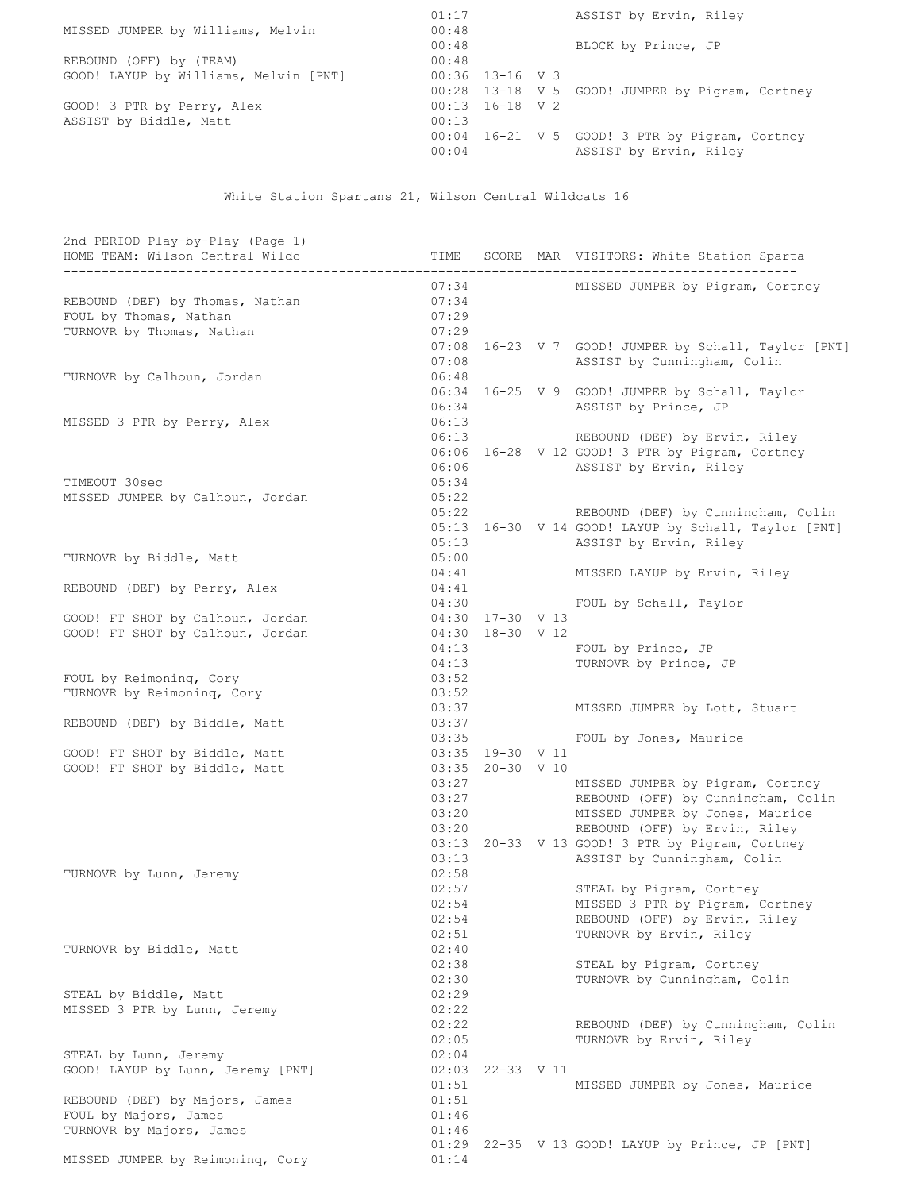| 01:17 |  | ASSIST by Ervin, Riley                           |
|-------|--|--------------------------------------------------|
| 00:48 |  |                                                  |
| 00:48 |  | BLOCK by Prince, JP                              |
| 00:48 |  |                                                  |
|       |  |                                                  |
|       |  | 00:28 13-18 V 5 GOOD! JUMPER by Pigram, Cortney  |
|       |  |                                                  |
| 00:13 |  |                                                  |
|       |  | $00:04$ 16-21 V 5 GOOD! 3 PTR by Pigram, Cortney |
| 00:04 |  | ASSIST by Ervin, Riley                           |
|       |  | $00:36$ 13-16 V 3<br>$00:13$ 16-18 V 2           |

White Station Spartans 21, Wilson Central Wildcats 16

| 2nd PERIOD Play-by-Play (Page 1)<br>HOME TEAM: Wilson Central Wildc | TIME           |                  | SCORE MAR VISITORS: White Station Sparta             |
|---------------------------------------------------------------------|----------------|------------------|------------------------------------------------------|
| _________________<br>_______________________                        |                |                  |                                                      |
|                                                                     | 07:34          |                  | MISSED JUMPER by Pigram, Cortney                     |
| REBOUND (DEF) by Thomas, Nathan                                     | 07:34          |                  |                                                      |
| FOUL by Thomas, Nathan<br>TURNOVR by Thomas, Nathan                 | 07:29<br>07:29 |                  |                                                      |
|                                                                     | 07:08          |                  | 16-23 V 7 GOOD! JUMPER by Schall, Taylor [PNT]       |
|                                                                     | 07:08          |                  | ASSIST by Cunningham, Colin                          |
| TURNOVR by Calhoun, Jordan                                          | 06:48          |                  |                                                      |
|                                                                     |                |                  | 06:34 16-25 V 9 GOOD! JUMPER by Schall, Taylor       |
|                                                                     | 06:34          |                  | ASSIST by Prince, JP                                 |
| MISSED 3 PTR by Perry, Alex                                         | 06:13          |                  |                                                      |
|                                                                     | 06:13          |                  | REBOUND (DEF) by Ervin, Riley                        |
|                                                                     |                |                  | 06:06 16-28 V 12 GOOD! 3 PTR by Pigram, Cortney      |
|                                                                     | 06:06          |                  | ASSIST by Ervin, Riley                               |
| TIMEOUT 30sec                                                       | 05:34          |                  |                                                      |
| MISSED JUMPER by Calhoun, Jordan                                    | 05:22          |                  |                                                      |
|                                                                     | 05:22          |                  | REBOUND (DEF) by Cunningham, Colin                   |
|                                                                     | 05:13          |                  | 05:13 16-30 V 14 GOOD! LAYUP by Schall, Taylor [PNT] |
| TURNOVR by Biddle, Matt                                             | 05:00          |                  | ASSIST by Ervin, Riley                               |
|                                                                     | 04:41          |                  | MISSED LAYUP by Ervin, Riley                         |
| REBOUND (DEF) by Perry, Alex                                        | 04:41          |                  |                                                      |
|                                                                     | 04:30          |                  | FOUL by Schall, Taylor                               |
| GOOD! FT SHOT by Calhoun, Jordan                                    | 04:30          | 17-30 V 13       |                                                      |
| GOOD! FT SHOT by Calhoun, Jordan                                    | 04:30          | 18-30 V 12       |                                                      |
|                                                                     | 04:13          |                  | FOUL by Prince, JP                                   |
|                                                                     | 04:13          |                  | TURNOVR by Prince, JP                                |
| FOUL by Reimoning, Cory                                             | 03:52          |                  |                                                      |
| TURNOVR by Reimoning, Cory                                          | 03:52          |                  |                                                      |
|                                                                     | 03:37          |                  | MISSED JUMPER by Lott, Stuart                        |
| REBOUND (DEF) by Biddle, Matt                                       | 03:37          |                  |                                                      |
|                                                                     | 03:35<br>03:35 | 19-30 V 11       | FOUL by Jones, Maurice                               |
| GOOD! FT SHOT by Biddle, Matt<br>GOOD! FT SHOT by Biddle, Matt      |                | 03:35 20-30 V 10 |                                                      |
|                                                                     | 03:27          |                  | MISSED JUMPER by Pigram, Cortney                     |
|                                                                     | 03:27          |                  | REBOUND (OFF) by Cunningham, Colin                   |
|                                                                     | 03:20          |                  | MISSED JUMPER by Jones, Maurice                      |
|                                                                     |                | 03:20            | REBOUND (OFF) by Ervin, Riley                        |
|                                                                     |                |                  | 03:13 20-33 V 13 GOOD! 3 PTR by Pigram, Cortney      |
|                                                                     | 03:13          |                  | ASSIST by Cunningham, Colin                          |
| TURNOVR by Lunn, Jeremy                                             | 02:58          |                  |                                                      |
|                                                                     | 02:57          |                  | STEAL by Pigram, Cortney                             |
|                                                                     | 02:54          |                  | MISSED 3 PTR by Pigram, Cortney                      |
|                                                                     | 02:54          |                  | REBOUND (OFF) by Ervin, Riley                        |
| TURNOVR by Biddle, Matt                                             | 02:51<br>02:40 |                  | TURNOVR by Ervin, Riley                              |
|                                                                     | 02:38          |                  | STEAL by Pigram, Cortney                             |
|                                                                     | 02:30          |                  | TURNOVR by Cunningham, Colin                         |
| STEAL by Biddle, Matt                                               | 02:29          |                  |                                                      |
| MISSED 3 PTR by Lunn, Jeremy                                        | 02:22          |                  |                                                      |
|                                                                     | 02:22          |                  | REBOUND (DEF) by Cunningham, Colin                   |
|                                                                     | 02:05          |                  | TURNOVR by Ervin, Riley                              |
| STEAL by Lunn, Jeremy                                               | 02:04          |                  |                                                      |
| GOOD! LAYUP by Lunn, Jeremy [PNT]                                   | 02:03          | 22-33 V 11       |                                                      |
|                                                                     | 01:51          |                  | MISSED JUMPER by Jones, Maurice                      |
| REBOUND (DEF) by Majors, James                                      | 01:51          |                  |                                                      |
| FOUL by Majors, James                                               | 01:46          |                  |                                                      |
| TURNOVR by Majors, James                                            | 01:46          |                  |                                                      |
|                                                                     | 01:29          |                  | 22-35 V 13 GOOD! LAYUP by Prince, JP [PNT]           |
| MISSED JUMPER by Reimoning, Cory                                    | 01:14          |                  |                                                      |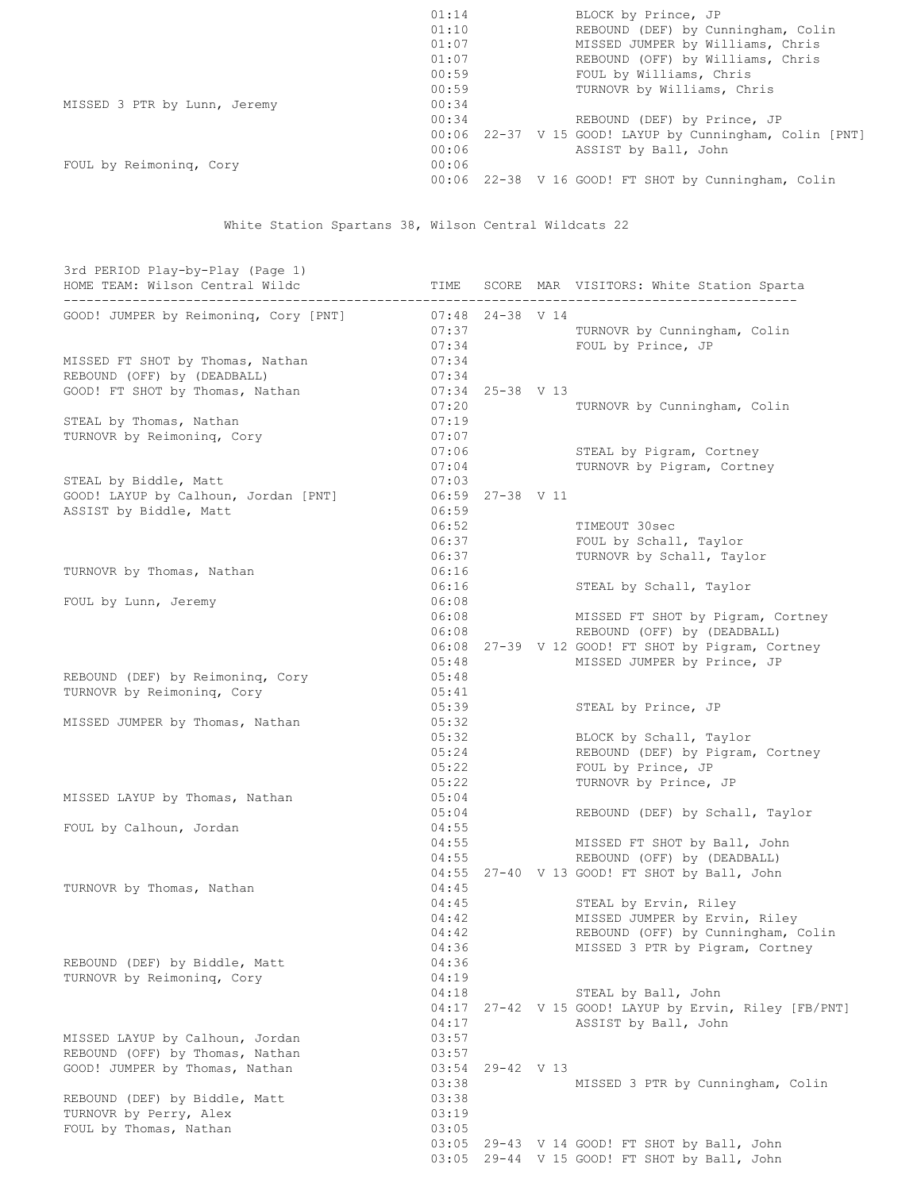|                              | 01:14 | BLOCK by Prince, JP                                 |
|------------------------------|-------|-----------------------------------------------------|
|                              | 01:10 | REBOUND (DEF) by Cunningham, Colin                  |
|                              | 01:07 | MISSED JUMPER by Williams, Chris                    |
|                              | 01:07 | REBOUND (OFF) by Williams, Chris                    |
|                              | 00:59 | FOUL by Williams, Chris                             |
|                              | 00:59 | TURNOVR by Williams, Chris                          |
| MISSED 3 PTR by Lunn, Jeremy | 00:34 |                                                     |
|                              | 00:34 | REBOUND (DEF) by Prince, JP                         |
|                              | 00:06 | 22-37 V 15 GOOD! LAYUP by Cunningham, Colin [PNT]   |
|                              | 00:06 | ASSIST by Ball, John                                |
| FOUL by Reimoning, Cory      | 00:06 |                                                     |
|                              |       | 00:06 22-38 V 16 GOOD! FT SHOT by Cunningham, Colin |

White Station Spartans 38, Wilson Central Wildcats 22

| 3rd PERIOD Play-by-Play (Page 1)      |       |                    |                                                       |
|---------------------------------------|-------|--------------------|-------------------------------------------------------|
| HOME TEAM: Wilson Central Wildc       | TIME  |                    | SCORE MAR VISITORS: White Station Sparta              |
|                                       |       |                    |                                                       |
| GOOD! JUMPER by Reimoning, Cory [PNT] |       | $07:48$ 24-38 V 14 |                                                       |
|                                       | 07:37 |                    | TURNOVR by Cunningham, Colin                          |
|                                       | 07:34 |                    | FOUL by Prince, JP                                    |
| MISSED FT SHOT by Thomas, Nathan      | 07:34 |                    |                                                       |
| REBOUND (OFF) by (DEADBALL)           | 07:34 |                    |                                                       |
| GOOD! FT SHOT by Thomas, Nathan       |       | $07:34$ 25-38 V 13 |                                                       |
|                                       | 07:20 |                    | TURNOVR by Cunningham, Colin                          |
| STEAL by Thomas, Nathan               | 07:19 |                    |                                                       |
| TURNOVR by Reimoning, Cory            | 07:07 |                    |                                                       |
|                                       | 07:06 |                    | STEAL by Pigram, Cortney                              |
| STEAL by Biddle, Matt                 | 07:04 |                    | TURNOVR by Pigram, Cortney                            |
|                                       | 07:03 |                    |                                                       |
| GOOD! LAYUP by Calhoun, Jordan [PNT]  | 06:59 | 06:59 27-38 V 11   |                                                       |
| ASSIST by Biddle, Matt                | 06:52 |                    | TIMEOUT 30sec                                         |
|                                       | 06:37 |                    | FOUL by Schall, Taylor                                |
|                                       | 06:37 |                    | TURNOVR by Schall, Taylor                             |
|                                       | 06:16 |                    |                                                       |
| TURNOVR by Thomas, Nathan             | 06:16 |                    | STEAL by Schall, Taylor                               |
| FOUL by Lunn, Jeremy                  | 06:08 |                    |                                                       |
|                                       | 06:08 |                    | MISSED FT SHOT by Pigram, Cortney                     |
|                                       | 06:08 |                    | REBOUND (OFF) by (DEADBALL)                           |
|                                       |       |                    | 06:08 27-39 V 12 GOOD! FT SHOT by Pigram, Cortney     |
|                                       | 05:48 |                    | MISSED JUMPER by Prince, JP                           |
| REBOUND (DEF) by Reimoning, Cory      | 05:48 |                    |                                                       |
| TURNOVR by Reimoning, Cory            | 05:41 |                    |                                                       |
|                                       | 05:39 |                    | STEAL by Prince, JP                                   |
| MISSED JUMPER by Thomas, Nathan       | 05:32 |                    |                                                       |
|                                       | 05:32 |                    | BLOCK by Schall, Taylor                               |
|                                       | 05:24 |                    | REBOUND (DEF) by Pigram, Cortney                      |
|                                       | 05:22 |                    | FOUL by Prince, JP                                    |
|                                       | 05:22 |                    | TURNOVR by Prince, JP                                 |
| MISSED LAYUP by Thomas, Nathan        | 05:04 |                    |                                                       |
|                                       | 05:04 |                    | REBOUND (DEF) by Schall, Taylor                       |
| FOUL by Calhoun, Jordan               | 04:55 |                    |                                                       |
|                                       | 04:55 |                    | MISSED FT SHOT by Ball, John                          |
|                                       | 04:55 |                    | REBOUND (OFF) by (DEADBALL)                           |
|                                       |       |                    | 04:55 27-40 V 13 GOOD! FT SHOT by Ball, John          |
| TURNOVR by Thomas, Nathan             | 04:45 |                    |                                                       |
|                                       | 04:45 |                    | STEAL by Ervin, Riley                                 |
|                                       | 04:42 |                    | MISSED JUMPER by Ervin, Riley                         |
|                                       | 04:42 |                    | REBOUND (OFF) by Cunningham, Colin                    |
|                                       | 04:36 |                    | MISSED 3 PTR by Pigram, Cortney                       |
| REBOUND (DEF) by Biddle, Matt         | 04:36 |                    |                                                       |
| TURNOVR by Reimoning, Cory            | 04:19 |                    |                                                       |
|                                       | 04:18 |                    | STEAL by Ball, John                                   |
|                                       |       |                    | 04:17 27-42 V 15 GOOD! LAYUP by Ervin, Riley [FB/PNT] |
|                                       | 04:17 |                    | ASSIST by Ball, John                                  |
| MISSED LAYUP by Calhoun, Jordan       | 03:57 |                    |                                                       |
| REBOUND (OFF) by Thomas, Nathan       | 03:57 |                    |                                                       |
| GOOD! JUMPER by Thomas, Nathan        | 03:54 | 29-42 V 13         |                                                       |
|                                       | 03:38 |                    | MISSED 3 PTR by Cunningham, Colin                     |
| REBOUND (DEF) by Biddle, Matt         | 03:38 |                    |                                                       |
| TURNOVR by Perry, Alex                | 03:19 |                    |                                                       |
| FOUL by Thomas, Nathan                | 03:05 |                    |                                                       |
|                                       |       |                    | 03:05 29-43 V 14 GOOD! FT SHOT by Ball, John          |
|                                       |       |                    | 03:05 29-44 V 15 GOOD! FT SHOT by Ball, John          |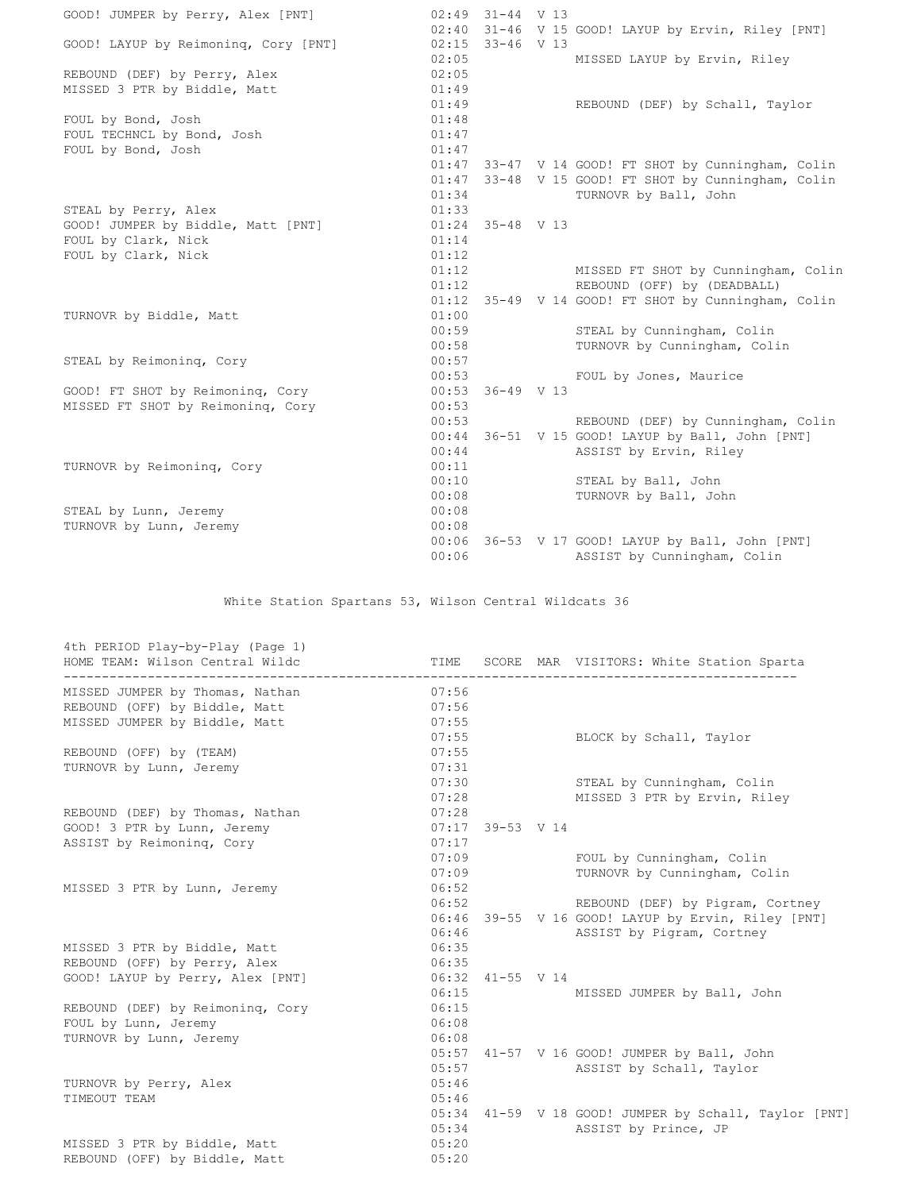| GOOD! JUMPER by Perry, Alex [PNT]    |       | $02:49$ $31-44$ V 13 |                                                     |
|--------------------------------------|-------|----------------------|-----------------------------------------------------|
|                                      | 02:15 | $33-46$ V 13         | 02:40 31-46 V 15 GOOD! LAYUP by Ervin, Riley [PNT]  |
| GOOD! LAYUP by Reimoning, Cory [PNT] | 02:05 |                      |                                                     |
|                                      | 02:05 |                      | MISSED LAYUP by Ervin, Riley                        |
| REBOUND (DEF) by Perry, Alex         | 01:49 |                      |                                                     |
| MISSED 3 PTR by Biddle, Matt         |       |                      |                                                     |
|                                      | 01:49 |                      | REBOUND (DEF) by Schall, Taylor                     |
| FOUL by Bond, Josh                   | 01:48 |                      |                                                     |
| FOUL TECHNCL by Bond, Josh           | 01:47 |                      |                                                     |
| FOUL by Bond, Josh                   | 01:47 |                      |                                                     |
|                                      | 01:47 |                      | 33-47 V 14 GOOD! FT SHOT by Cunningham, Colin       |
|                                      | 01:47 |                      | 33-48 V 15 GOOD! FT SHOT by Cunningham, Colin       |
|                                      | 01:34 |                      | TURNOVR by Ball, John                               |
| STEAL by Perry, Alex                 | 01:33 |                      |                                                     |
| GOOD! JUMPER by Biddle, Matt [PNT]   |       | $01:24$ 35-48 V 13   |                                                     |
| FOUL by Clark, Nick                  | 01:14 |                      |                                                     |
| FOUL by Clark, Nick                  | 01:12 |                      |                                                     |
|                                      |       | 01:12                | MISSED FT SHOT by Cunningham, Colin                 |
|                                      | 01:12 |                      | REBOUND (OFF) by (DEADBALL)                         |
|                                      |       |                      | 01:12 35-49 V 14 GOOD! FT SHOT by Cunningham, Colin |
| TURNOVR by Biddle, Matt              | 01:00 |                      |                                                     |
|                                      | 00:59 |                      | STEAL by Cunningham, Colin                          |
|                                      |       | 00:58                | TURNOVR by Cunningham, Colin                        |
| STEAL by Reimoning, Cory             | 00:57 |                      |                                                     |
|                                      | 00:53 |                      | FOUL by Jones, Maurice                              |
| GOOD! FT SHOT by Reimoning, Cory     |       | $00:53$ 36-49 V 13   |                                                     |
| MISSED FT SHOT by Reimoning, Cory    | 00:53 |                      |                                                     |
|                                      | 00:53 |                      | REBOUND (DEF) by Cunningham, Colin                  |
|                                      | 00:44 |                      | 36-51 V 15 GOOD! LAYUP by Ball, John [PNT]          |
|                                      | 00:44 |                      | ASSIST by Ervin, Riley                              |
| TURNOVR by Reimoning, Cory           | 00:11 |                      |                                                     |
|                                      | 00:10 |                      | STEAL by Ball, John                                 |
|                                      | 00:08 |                      | TURNOVR by Ball, John                               |
| STEAL by Lunn, Jeremy                | 00:08 |                      |                                                     |
| TURNOVR by Lunn, Jeremy              | 00:08 |                      |                                                     |
|                                      |       |                      | 00:06 36-53 V 17 GOOD! LAYUP by Ball, John [PNT]    |
|                                      | 00:06 |                      | ASSIST by Cunningham, Colin                         |
|                                      |       |                      |                                                     |

White Station Spartans 53, Wilson Central Wildcats 36

| 4th PERIOD Play-by-Play (Page 1)<br>HOME TEAM: Wilson Central Wildc | TIME           |                    | SCORE MAR VISITORS: White Station Sparta                                               |
|---------------------------------------------------------------------|----------------|--------------------|----------------------------------------------------------------------------------------|
| MISSED JUMPER by Thomas, Nathan                                     | 07:56          |                    |                                                                                        |
| REBOUND (OFF) by Biddle, Matt                                       | 07:56          |                    |                                                                                        |
| MISSED JUMPER by Biddle, Matt                                       | 07:55          |                    |                                                                                        |
|                                                                     | 07:55          |                    | BLOCK by Schall, Taylor                                                                |
| REBOUND (OFF) by (TEAM)                                             | 07:55          |                    |                                                                                        |
| TURNOVR by Lunn, Jeremy                                             | 07:31          |                    |                                                                                        |
|                                                                     | 07:30          |                    | STEAL by Cunningham, Colin                                                             |
|                                                                     | 07:28          |                    | MISSED 3 PTR by Ervin, Riley                                                           |
| REBOUND (DEF) by Thomas, Nathan                                     | 07:28          |                    |                                                                                        |
| GOOD! 3 PTR by Lunn, Jeremy                                         | 07:17          | 39-53 V 14         |                                                                                        |
| ASSIST by Reimoning, Cory                                           | 07:17          |                    |                                                                                        |
|                                                                     | 07:09          |                    | FOUL by Cunningham, Colin                                                              |
|                                                                     |                | 07:09              | TURNOVR by Cunningham, Colin                                                           |
| MISSED 3 PTR by Lunn, Jeremy                                        | 06:52<br>06:52 |                    |                                                                                        |
|                                                                     |                |                    | REBOUND (DEF) by Pigram, Cortney<br>06:46 39-55 V 16 GOOD! LAYUP by Ervin, Riley [PNT] |
|                                                                     | 06:46          |                    | ASSIST by Pigram, Cortney                                                              |
| MISSED 3 PTR by Biddle, Matt                                        | 06:35          |                    |                                                                                        |
| REBOUND (OFF) by Perry, Alex                                        | 06:35          |                    |                                                                                        |
| GOOD! LAYUP by Perry, Alex [PNT]                                    |                | $06:32$ 41-55 V 14 |                                                                                        |
|                                                                     | 06:15          |                    | MISSED JUMPER by Ball, John                                                            |
| REBOUND (DEF) by Reimoning, Cory                                    | 06:15          |                    |                                                                                        |
| FOUL by Lunn, Jeremy                                                | 06:08          |                    |                                                                                        |
| TURNOVR by Lunn, Jeremy                                             | 06:08          |                    |                                                                                        |
|                                                                     | 05:57          |                    | 41-57 V 16 GOOD! JUMPER by Ball, John                                                  |
|                                                                     | 05:57          |                    | ASSIST by Schall, Taylor                                                               |
| TURNOVR by Perry, Alex                                              | 05:46          |                    |                                                                                        |
| TIMEOUT TEAM                                                        | 05:46          |                    |                                                                                        |
|                                                                     |                |                    | 05:34 41-59 V 18 GOOD! JUMPER by Schall, Taylor [PNT]                                  |
|                                                                     | 05:34          |                    | ASSIST by Prince, JP                                                                   |
| MISSED 3 PTR by Biddle, Matt                                        | 05:20          |                    |                                                                                        |
| REBOUND (OFF) by Biddle, Matt                                       | 05:20          |                    |                                                                                        |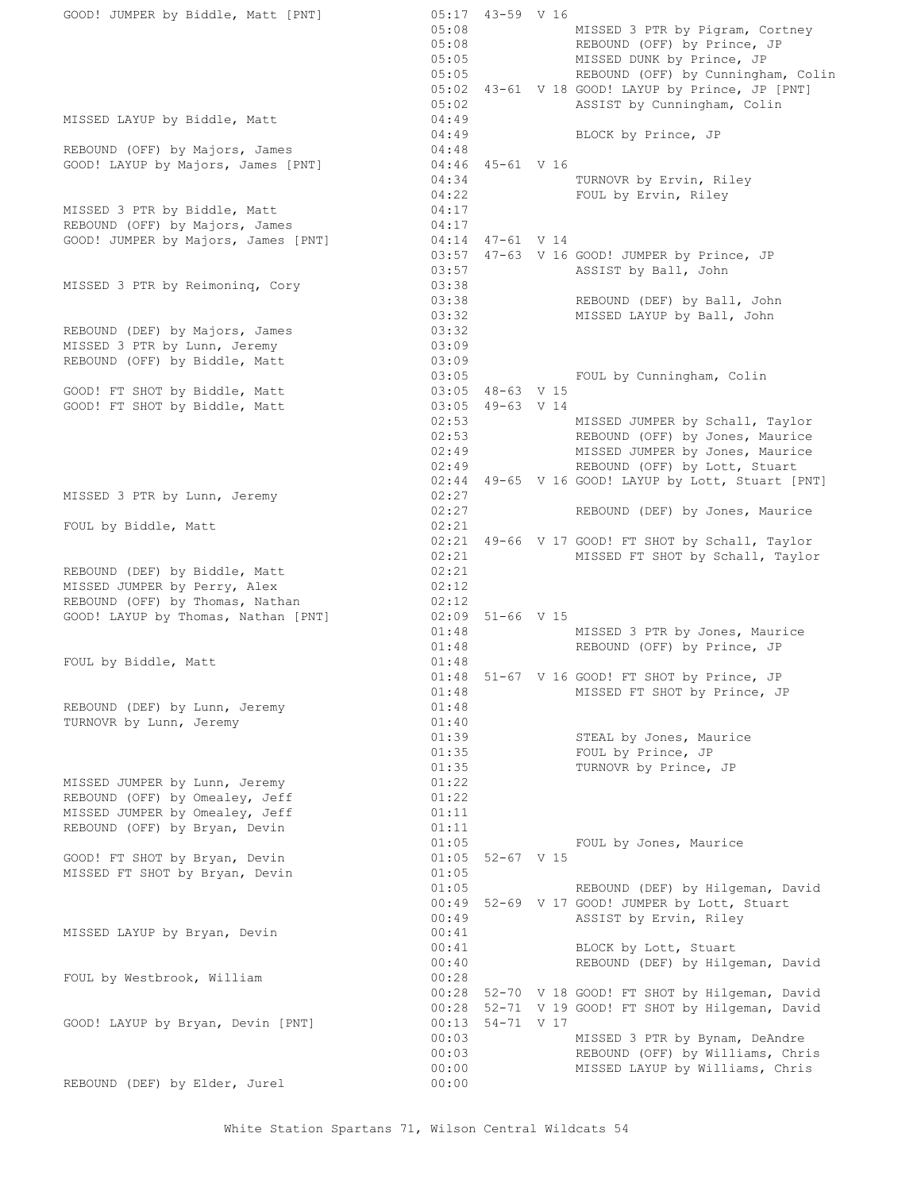| GOOD! JUMPER by Biddle, Matt [PNT]                                                                    | 05:17 43-59 V 16<br>05:08<br>05:08<br>05:05<br>MISSED DUNK by Prince, JP                                           | MISSED 3 PTR by Pigram, Cortney<br>REBOUND (OFF) by Prince, JP                                                                         |
|-------------------------------------------------------------------------------------------------------|--------------------------------------------------------------------------------------------------------------------|----------------------------------------------------------------------------------------------------------------------------------------|
|                                                                                                       | 05:05<br>05:02 43-61 V 18 GOOD! LAYUP by Prince, JP [PNT]<br>05:02                                                 | REBOUND (OFF) by Cunningham, Colin<br>ASSIST by Cunningham, Colin                                                                      |
| MISSED LAYUP by Biddle, Matt                                                                          | 04:49<br>04:49<br>BLOCK by Prince, JP                                                                              |                                                                                                                                        |
| REBOUND (OFF) by Majors, James<br>GOOD! LAYUP by Majors, James [PNT]                                  | 04:48<br>04:46 45-61 V 16<br>04:34<br>TURNOVR by Ervin, Riley<br>04:22<br>FOUL by Ervin, Riley                     |                                                                                                                                        |
| MISSED 3 PTR by Biddle, Matt<br>REBOUND (OFF) by Majors, James<br>GOOD! JUMPER by Majors, James [PNT] | 04:17<br>04:17<br>04:14 47-61 V 14                                                                                 |                                                                                                                                        |
|                                                                                                       | 03:57 47-63 V 16 GOOD! JUMPER by Prince, JP<br>03:57<br>ASSIST by Ball, John                                       |                                                                                                                                        |
| MISSED 3 PTR by Reimoning, Cory                                                                       | 03:38<br>03:38<br>03:32                                                                                            | REBOUND (DEF) by Ball, John<br>MISSED LAYUP by Ball, John                                                                              |
| REBOUND (DEF) by Majors, James<br>MISSED 3 PTR by Lunn, Jeremy<br>REBOUND (OFF) by Biddle, Matt       | 03:32<br>03:09<br>03:09                                                                                            |                                                                                                                                        |
| GOOD! FT SHOT by Biddle, Matt<br>GOOD! FT SHOT by Biddle, Matt                                        | 03:05<br>FOUL by Cunningham, Colin<br>03:05 48-63 V 15<br>03:05 49-63 V 14                                         |                                                                                                                                        |
|                                                                                                       | 02:53<br>02:53<br>02:49<br>02:49                                                                                   | MISSED JUMPER by Schall, Taylor<br>REBOUND (OFF) by Jones, Maurice<br>MISSED JUMPER by Jones, Maurice<br>REBOUND (OFF) by Lott, Stuart |
| MISSED 3 PTR by Lunn, Jeremy                                                                          | 02:44 49-65 V 16 GOOD! LAYUP by Lott, Stuart [PNT]<br>02:27                                                        |                                                                                                                                        |
| FOUL by Biddle, Matt                                                                                  | 02:27<br>02:21                                                                                                     | REBOUND (DEF) by Jones, Maurice                                                                                                        |
| REBOUND (DEF) by Biddle, Matt                                                                         | 02:21 49-66 V 17 GOOD! FT SHOT by Schall, Taylor<br>02:21<br>02:21                                                 | MISSED FT SHOT by Schall, Taylor                                                                                                       |
| MISSED JUMPER by Perry, Alex<br>REBOUND (OFF) by Thomas, Nathan                                       | 02:12<br>02:12                                                                                                     |                                                                                                                                        |
| GOOD! LAYUP by Thomas, Nathan [PNT]                                                                   | $02:09$ 51-66 V 15<br>01:48<br>01:48                                                                               | MISSED 3 PTR by Jones, Maurice<br>REBOUND (OFF) by Prince, JP                                                                          |
| FOUL by Biddle, Matt                                                                                  | 01:48<br>01:48 51-67 V 16 GOOD! FT SHOT by Prince, JP<br>01:48                                                     | MISSED FT SHOT by Prince, JP                                                                                                           |
| REBOUND (DEF) by Lunn, Jeremy<br>TURNOVR by Lunn, Jeremy                                              | 01:48<br>01:40<br>01:39<br>STEAL by Jones, Maurice                                                                 |                                                                                                                                        |
| MISSED JUMPER by Lunn, Jeremy                                                                         | 01:35<br>FOUL by Prince, JP<br>01:35<br>TURNOVR by Prince, JP<br>01:22                                             |                                                                                                                                        |
| REBOUND (OFF) by Omealey, Jeff<br>MISSED JUMPER by Omealey, Jeff<br>REBOUND (OFF) by Bryan, Devin     | 01:22<br>01:11<br>01:11                                                                                            |                                                                                                                                        |
| GOOD! FT SHOT by Bryan, Devin<br>MISSED FT SHOT by Bryan, Devin                                       | 01:05<br>FOUL by Jones, Maurice<br>$01:05$ 52-67 V 15<br>01:05                                                     |                                                                                                                                        |
|                                                                                                       | 01:05<br>00:49 52-69 V 17 GOOD! JUMPER by Lott, Stuart<br>00:49<br>ASSIST by Ervin, Riley                          | REBOUND (DEF) by Hilgeman, David                                                                                                       |
| MISSED LAYUP by Bryan, Devin                                                                          | 00:41<br>00:41<br>BLOCK by Lott, Stuart<br>00:40                                                                   | REBOUND (DEF) by Hilgeman, David                                                                                                       |
| FOUL by Westbrook, William                                                                            | 00:28<br>00:28 52-70 V 18 GOOD! FT SHOT by Hilgeman, David<br>52-71 V 19 GOOD! FT SHOT by Hilgeman, David<br>00:28 |                                                                                                                                        |
| GOOD! LAYUP by Bryan, Devin [PNT]                                                                     | 00:13<br>54-71 V 17<br>00:03<br>00:03<br>00:00                                                                     | MISSED 3 PTR by Bynam, DeAndre<br>REBOUND (OFF) by Williams, Chris<br>MISSED LAYUP by Williams, Chris                                  |
| REBOUND (DEF) by Elder, Jurel                                                                         | 00:00                                                                                                              |                                                                                                                                        |